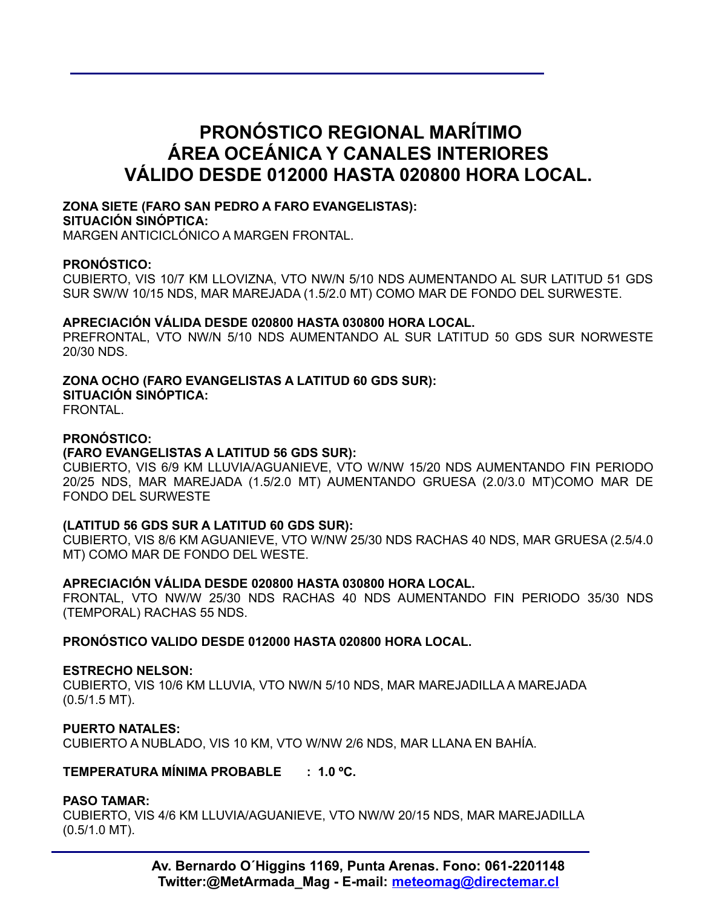## **PRONÓSTICO REGIONAL MARÍTIMO ÁREA OCEÁNICA Y CANALES INTERIORES VÁLIDO DESDE 012000 HASTA 020800 HORA LOCAL.**

## **ZONA SIETE (FARO SAN PEDRO A FARO EVANGELISTAS):**

#### **SITUACIÓN SINÓPTICA:**

MARGEN ANTICICLÓNICO A MARGEN FRONTAL.

### **PRONÓSTICO:**

CUBIERTO, VIS 10/7 KM LLOVIZNA, VTO NW/N 5/10 NDS AUMENTANDO AL SUR LATITUD 51 GDS SUR SW/W 10/15 NDS, MAR MAREJADA (1.5/2.0 MT) COMO MAR DE FONDO DEL SURWESTE.

### **APRECIACIÓN VÁLIDA DESDE 020800 HASTA 030800 HORA LOCAL.**

PREFRONTAL, VTO NW/N 5/10 NDS AUMENTANDO AL SUR LATITUD 50 GDS SUR NORWESTE 20/30 NDS.

## **ZONA OCHO (FARO EVANGELISTAS A LATITUD 60 GDS SUR):**

**SITUACIÓN SINÓPTICA:**

FRONTAL.

## **PRONÓSTICO:**

## **(FARO EVANGELISTAS A LATITUD 56 GDS SUR):**

CUBIERTO, VIS 6/9 KM LLUVIA/AGUANIEVE, VTO W/NW 15/20 NDS AUMENTANDO FIN PERIODO 20/25 NDS, MAR MAREJADA (1.5/2.0 MT) AUMENTANDO GRUESA (2.0/3.0 MT)COMO MAR DE FONDO DEL SURWESTE

## **(LATITUD 56 GDS SUR A LATITUD 60 GDS SUR):**

CUBIERTO, VIS 8/6 KM AGUANIEVE, VTO W/NW 25/30 NDS RACHAS 40 NDS, MAR GRUESA (2.5/4.0 MT) COMO MAR DE FONDO DEL WESTE.

## **APRECIACIÓN VÁLIDA DESDE 020800 HASTA 030800 HORA LOCAL.**

FRONTAL, VTO NW/W 25/30 NDS RACHAS 40 NDS AUMENTANDO FIN PERIODO 35/30 NDS (TEMPORAL) RACHAS 55 NDS.

**PRONÓSTICO VALIDO DESDE 012000 HASTA 020800 HORA LOCAL.**

#### **ESTRECHO NELSON:**

CUBIERTO, VIS 10/6 KM LLUVIA, VTO NW/N 5/10 NDS, MAR MAREJADILLA A MAREJADA (0.5/1.5 MT).

#### **PUERTO NATALES:**

CUBIERTO A NUBLADO, VIS 10 KM, VTO W/NW 2/6 NDS, MAR LLANA EN BAHÍA.

## **TEMPERATURA MÍNIMA PROBABLE : 1.0 ºC.**

## **PASO TAMAR:**

CUBIERTO, VIS 4/6 KM LLUVIA/AGUANIEVE, VTO NW/W 20/15 NDS, MAR MAREJADILLA (0.5/1.0 MT).

> **Av. Bernardo O´Higgins 1169, Punta Arenas. Fono: 061-2201148 Twitter:@MetArmada\_Mag - E-mail: meteomag@directemar.cl**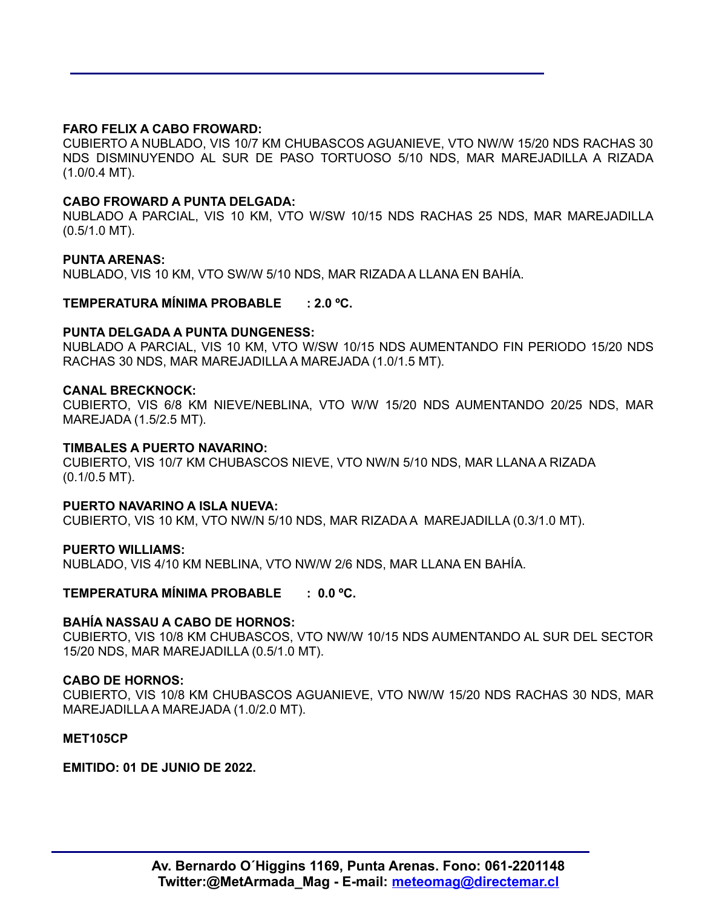## **FARO FELIX A CABO FROWARD:**

CUBIERTO A NUBLADO, VIS 10/7 KM CHUBASCOS AGUANIEVE, VTO NW/W 15/20 NDS RACHAS 30 NDS DISMINUYENDO AL SUR DE PASO TORTUOSO 5/10 NDS, MAR MAREJADILLA A RIZADA (1.0/0.4 MT).

#### **CABO FROWARD A PUNTA DELGADA:**

NUBLADO A PARCIAL, VIS 10 KM, VTO W/SW 10/15 NDS RACHAS 25 NDS, MAR MAREJADILLA (0.5/1.0 MT).

#### **PUNTA ARENAS:**

NUBLADO, VIS 10 KM, VTO SW/W 5/10 NDS, MAR RIZADA A LLANA EN BAHÍA.

#### **TEMPERATURA MÍNIMA PROBABLE : 2.0 ºC.**

#### **PUNTA DELGADA A PUNTA DUNGENESS:**

NUBLADO A PARCIAL, VIS 10 KM, VTO W/SW 10/15 NDS AUMENTANDO FIN PERIODO 15/20 NDS RACHAS 30 NDS, MAR MAREJADILLA A MAREJADA (1.0/1.5 MT).

#### **CANAL BRECKNOCK:**

CUBIERTO, VIS 6/8 KM NIEVE/NEBLINA, VTO W/W 15/20 NDS AUMENTANDO 20/25 NDS, MAR MAREJADA (1.5/2.5 MT).

#### **TIMBALES A PUERTO NAVARINO:**

CUBIERTO, VIS 10/7 KM CHUBASCOS NIEVE, VTO NW/N 5/10 NDS, MAR LLANA A RIZADA (0.1/0.5 MT).

#### **PUERTO NAVARINO A ISLA NUEVA:**

CUBIERTO, VIS 10 KM, VTO NW/N 5/10 NDS, MAR RIZADA A MAREJADILLA (0.3/1.0 MT).

#### **PUERTO WILLIAMS:**

NUBLADO, VIS 4/10 KM NEBLINA, VTO NW/W 2/6 NDS, MAR LLANA EN BAHÍA.

## **TEMPERATURA MÍNIMA PROBABLE : 0.0 ºC.**

#### **BAHÍA NASSAU A CABO DE HORNOS:**

CUBIERTO, VIS 10/8 KM CHUBASCOS, VTO NW/W 10/15 NDS AUMENTANDO AL SUR DEL SECTOR 15/20 NDS, MAR MAREJADILLA (0.5/1.0 MT).

#### **CABO DE HORNOS:**

CUBIERTO, VIS 10/8 KM CHUBASCOS AGUANIEVE, VTO NW/W 15/20 NDS RACHAS 30 NDS, MAR MAREJADILLA A MAREJADA (1.0/2.0 MT).

#### **MET105CP**

**EMITIDO: 01 DE JUNIO DE 2022.**